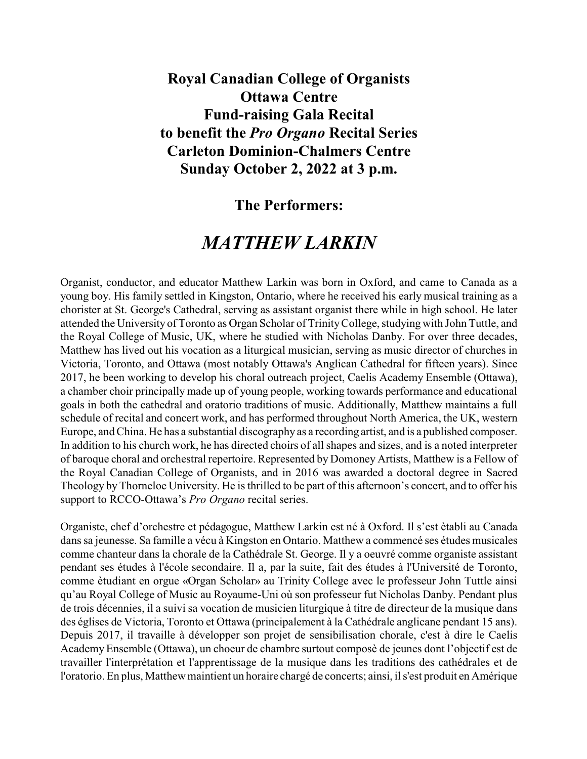**Royal Canadian College of Organists Ottawa Centre Fund-raising Gala Recital to benefit the** *Pro Organo* **Recital Series Carleton Dominion-Chalmers Centre Sunday October 2, 2022 at 3 p.m.**

## **The Performers:**

## *MATTHEW LARKIN*

Organist, conductor, and educator Matthew Larkin was born in Oxford, and came to Canada as a young boy. His family settled in Kingston, Ontario, where he received his early musical training as a chorister at St. George's Cathedral, serving as assistant organist there while in high school. He later attended the University of Toronto as Organ Scholar of TrinityCollege, studying with John Tuttle, and the Royal College of Music, UK, where he studied with Nicholas Danby. For over three decades, Matthew has lived out his vocation as a liturgical musician, serving as music director of churches in Victoria, Toronto, and Ottawa (most notably Ottawa's Anglican Cathedral for fifteen years). Since 2017, he been working to develop his choral outreach project, Caelis Academy Ensemble (Ottawa), a chamber choir principally made up of young people, working towards performance and educational goals in both the cathedral and oratorio traditions of music. Additionally, Matthew maintains a full schedule of recital and concert work, and has performed throughout North America, the UK, western Europe, and China. He has a substantial discography as a recording artist, and is a published composer. In addition to his church work, he has directed choirs of all shapes and sizes, and is a noted interpreter of baroque choral and orchestral repertoire. Represented by Domoney Artists, Matthew is a Fellow of the Royal Canadian College of Organists, and in 2016 was awarded a doctoral degree in Sacred Theology by Thorneloe University. He is thrilled to be part of this afternoon's concert, and to offer his support to RCCO-Ottawa's *Pro Organo* recital series.

Organiste, chef d'orchestre et pédagogue, Matthew Larkin est né à Oxford. Il s'est ètabli au Canada dans sa jeunesse. Sa famille a vécu à Kingston en Ontario. Matthew a commencé ses études musicales comme chanteur dans la chorale de la Cathédrale St. George. Il y a oeuvré comme organiste assistant pendant ses études à l'école secondaire. Il a, par la suite, fait des études à l'Université de Toronto, comme ètudiant en orgue «Organ Scholar» au Trinity College avec le professeur John Tuttle ainsi qu'au Royal College of Music au Royaume-Uni où son professeur fut Nicholas Danby. Pendant plus de trois décennies, il a suivi sa vocation de musicien liturgique à titre de directeur de la musique dans des églises de Victoria, Toronto et Ottawa (principalement à la Cathédrale anglicane pendant 15 ans). Depuis 2017, il travaille à développer son projet de sensibilisation chorale, c'est à dire le Caelis Academy Ensemble (Ottawa), un choeur de chambre surtout composè de jeunes dont l'objectif est de travailler l'interprétation et l'apprentissage de la musique dans les traditions des cathédrales et de l'oratorio. En plus, Matthew maintient un horaire chargé de concerts; ainsi, il s'est produit en Amérique